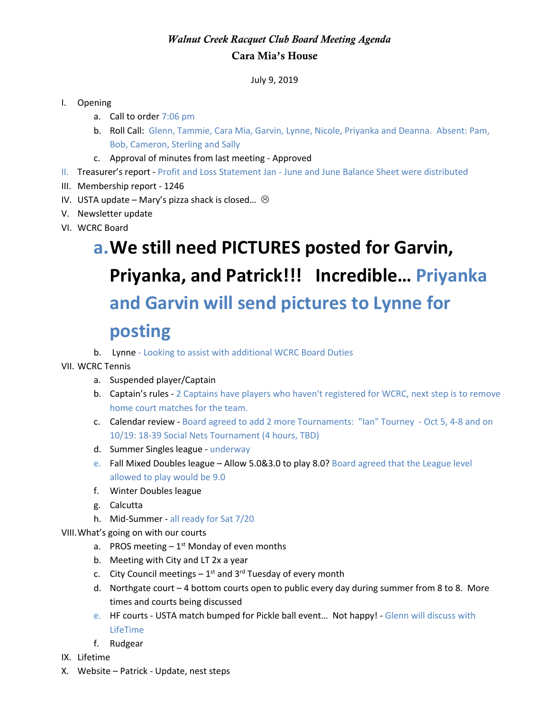## *Walnut Creek Racquet Club Board Meeting Agenda* Cara Mia's House

July 9, 2019

#### I. Opening

- a. Call to order 7:06 pm
- b. Roll Call: Glenn, Tammie, Cara Mia, Garvin, Lynne, Nicole, Priyanka and Deanna. Absent: Pam, Bob, Cameron, Sterling and Sally
- c. Approval of minutes from last meeting Approved
- II. Treasurer's report Profit and Loss Statement Jan June and June Balance Sheet were distributed
- III. Membership report 1246
- IV. USTA update Mary's pizza shack is closed...  $\odot$
- V. Newsletter update
- VI. WCRC Board

# **a.We still need PICTURES posted for Garvin, Priyanka, and Patrick!!! Incredible… Priyanka and Garvin will send pictures to Lynne for posting**

b. Lynne - Looking to assist with additional WCRC Board Duties

#### VII. WCRC Tennis

- a. Suspended player/Captain
- b. Captain's rules 2 Captains have players who haven't registered for WCRC, next step is to remove home court matches for the team.
- c. Calendar review Board agreed to add 2 more Tournaments: "Ian" Tourney Oct 5, 4-8 and on 10/19: 18-39 Social Nets Tournament (4 hours, TBD)
- d. Summer Singles league underway
- e. Fall Mixed Doubles league Allow 5.0&3.0 to play 8.0? Board agreed that the League level allowed to play would be 9.0
- f. Winter Doubles league
- g. Calcutta
- h. Mid-Summer all ready for Sat 7/20

VIII.What's going on with our courts

- a. PROS meeting  $-1<sup>st</sup>$  Monday of even months
- b. Meeting with City and LT 2x a year
- c. City Council meetings  $-1^{st}$  and 3<sup>rd</sup> Tuesday of every month
- d. Northgate court 4 bottom courts open to public every day during summer from 8 to 8. More times and courts being discussed
- e. HF courts USTA match bumped for Pickle ball event… Not happy! Glenn will discuss with LifeTime
- f. Rudgear
- IX. Lifetime
- X. Website Patrick Update, nest steps